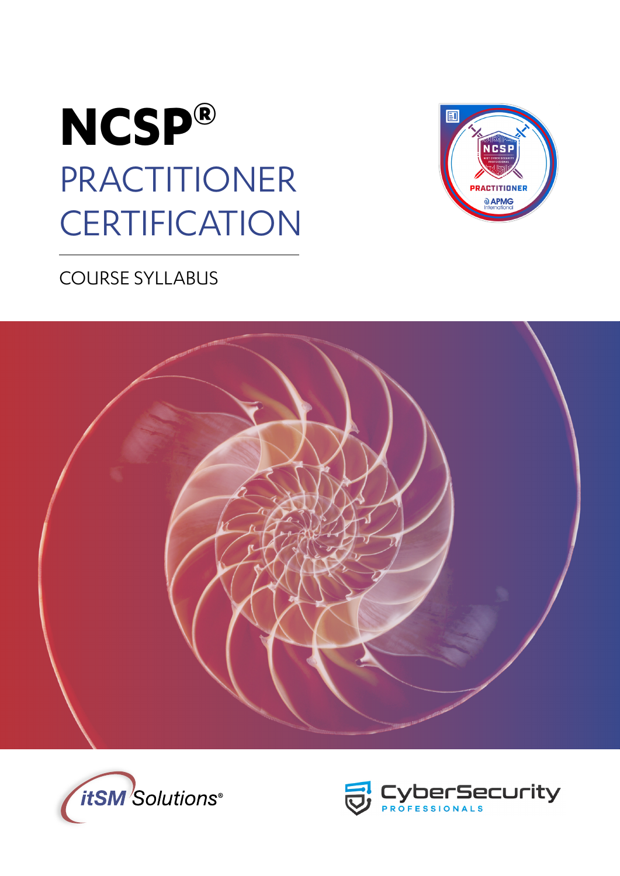



## COURSE SYLLABUS





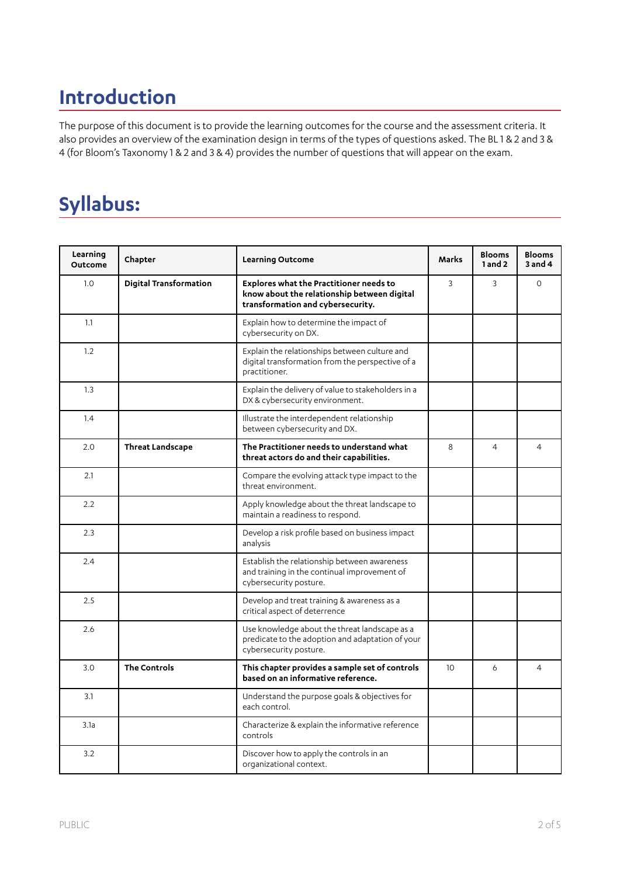# **Introduction**

The purpose of this document is to provide the learning outcomes for the course and the assessment criteria. It also provides an overview of the examination design in terms of the types of questions asked. The BL 1 & 2 and 3 & 4 (for Bloom's Taxonomy 1 & 2 and 3 & 4) provides the number of questions that will appear on the exam.

# **Syllabus:**

| Learning<br><b>Outcome</b> | Chapter                       | <b>Learning Outcome</b>                                                                                                            | <b>Marks</b>    | <b>Blooms</b><br>$1$ and $2$ | <b>Blooms</b><br>$3$ and $4$ |
|----------------------------|-------------------------------|------------------------------------------------------------------------------------------------------------------------------------|-----------------|------------------------------|------------------------------|
| 1.0                        | <b>Digital Transformation</b> | <b>Explores what the Practitioner needs to</b><br>know about the relationship between digital<br>transformation and cybersecurity. | 3               | 3                            | $\Omega$                     |
| 1.1                        |                               | Explain how to determine the impact of<br>cybersecurity on DX.                                                                     |                 |                              |                              |
| 1.2                        |                               | Explain the relationships between culture and<br>digital transformation from the perspective of a<br>practitioner.                 |                 |                              |                              |
| 1.3                        |                               | Explain the delivery of value to stakeholders in a<br>DX & cybersecurity environment.                                              |                 |                              |                              |
| 1.4                        |                               | Illustrate the interdependent relationship<br>between cybersecurity and DX.                                                        |                 |                              |                              |
| 2.0                        | <b>Threat Landscape</b>       | The Practitioner needs to understand what<br>threat actors do and their capabilities.                                              | 8               | $\overline{4}$               | $\overline{4}$               |
| 2.1                        |                               | Compare the evolving attack type impact to the<br>threat environment.                                                              |                 |                              |                              |
| 2.2                        |                               | Apply knowledge about the threat landscape to<br>maintain a readiness to respond.                                                  |                 |                              |                              |
| 2.3                        |                               | Develop a risk profile based on business impact<br>analysis                                                                        |                 |                              |                              |
| 2.4                        |                               | Establish the relationship between awareness<br>and training in the continual improvement of<br>cybersecurity posture.             |                 |                              |                              |
| 2.5                        |                               | Develop and treat training & awareness as a<br>critical aspect of deterrence                                                       |                 |                              |                              |
| 2.6                        |                               | Use knowledge about the threat landscape as a<br>predicate to the adoption and adaptation of your<br>cybersecurity posture.        |                 |                              |                              |
| 3.0                        | <b>The Controls</b>           | This chapter provides a sample set of controls<br>based on an informative reference.                                               | 10 <sup>2</sup> | 6                            | $\overline{4}$               |
| 3.1                        |                               | Understand the purpose goals & objectives for<br>each control.                                                                     |                 |                              |                              |
| 3.1a                       |                               | Characterize & explain the informative reference<br>controls                                                                       |                 |                              |                              |
| 3.2                        |                               | Discover how to apply the controls in an<br>organizational context.                                                                |                 |                              |                              |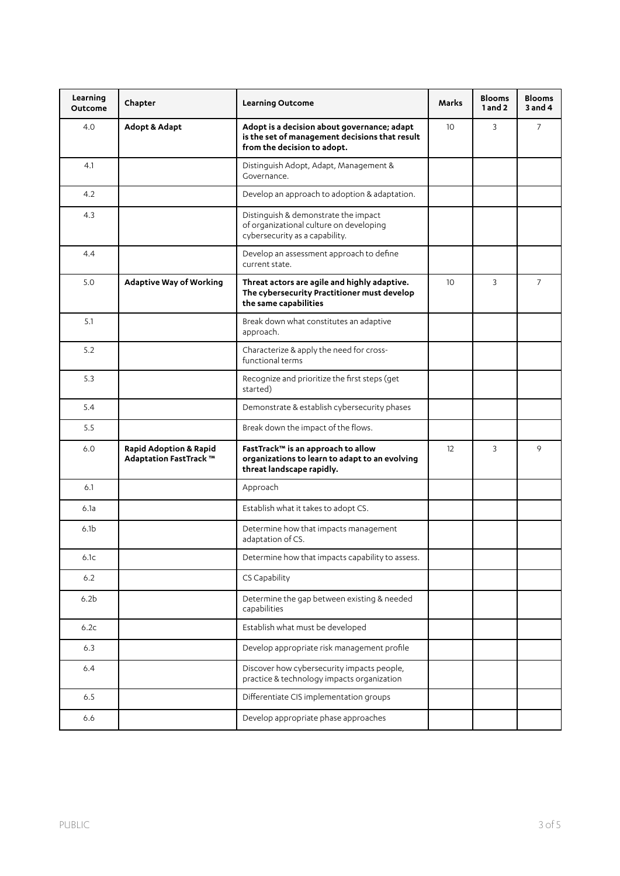| Learning<br><b>Outcome</b> | Chapter                                                     | Learning Outcome                                                                                                             | Marks           | <b>Blooms</b><br>1 and 2 | <b>Blooms</b><br>$3$ and $4$ |
|----------------------------|-------------------------------------------------------------|------------------------------------------------------------------------------------------------------------------------------|-----------------|--------------------------|------------------------------|
| 4.0                        | <b>Adopt &amp; Adapt</b>                                    | Adopt is a decision about governance; adapt<br>is the set of management decisions that result<br>from the decision to adopt. | 10 <sup>°</sup> | 3                        | $\overline{7}$               |
| 4.1                        |                                                             | Distinguish Adopt, Adapt, Management &<br>Governance.                                                                        |                 |                          |                              |
| 4.2                        |                                                             | Develop an approach to adoption & adaptation.                                                                                |                 |                          |                              |
| 4.3                        |                                                             | Distinguish & demonstrate the impact<br>of organizational culture on developing<br>cybersecurity as a capability.            |                 |                          |                              |
| 4.4                        |                                                             | Develop an assessment approach to define<br>current state.                                                                   |                 |                          |                              |
| 5.0                        | <b>Adaptive Way of Working</b>                              | Threat actors are agile and highly adaptive.<br>The cybersecurity Practitioner must develop<br>the same capabilities         | 10              | 3                        | $\overline{7}$               |
| 5.1                        |                                                             | Break down what constitutes an adaptive<br>approach.                                                                         |                 |                          |                              |
| 5.2                        |                                                             | Characterize & apply the need for cross-<br>functional terms                                                                 |                 |                          |                              |
| 5.3                        |                                                             | Recognize and prioritize the first steps (get<br>started)                                                                    |                 |                          |                              |
| 5.4                        |                                                             | Demonstrate & establish cybersecurity phases                                                                                 |                 |                          |                              |
| 5.5                        |                                                             | Break down the impact of the flows.                                                                                          |                 |                          |                              |
| 6.0                        | <b>Rapid Adoption &amp; Rapid</b><br>Adaptation FastTrack ™ | FastTrack™ is an approach to allow<br>organizations to learn to adapt to an evolving<br>threat landscape rapidly.            | 12              | 3                        | 9                            |
| 6.1                        |                                                             | Approach                                                                                                                     |                 |                          |                              |
| 6.1a                       |                                                             | Establish what it takes to adopt CS.                                                                                         |                 |                          |                              |
| 6.1 <sub>b</sub>           |                                                             | Determine how that impacts management<br>adaptation of CS.                                                                   |                 |                          |                              |
| 6.1c                       |                                                             | Determine how that impacts capability to assess.                                                                             |                 |                          |                              |
| 6.2                        |                                                             | CS Capability                                                                                                                |                 |                          |                              |
| 6.2 <sub>b</sub>           |                                                             | Determine the gap between existing & needed<br>capabilities                                                                  |                 |                          |                              |
| 6.2c                       |                                                             | Establish what must be developed                                                                                             |                 |                          |                              |
| 6.3                        |                                                             | Develop appropriate risk management profile                                                                                  |                 |                          |                              |
| 6.4                        |                                                             | Discover how cybersecurity impacts people,<br>practice & technology impacts organization                                     |                 |                          |                              |
| 6.5                        |                                                             | Differentiate CIS implementation groups                                                                                      |                 |                          |                              |
| 6.6                        |                                                             | Develop appropriate phase approaches                                                                                         |                 |                          |                              |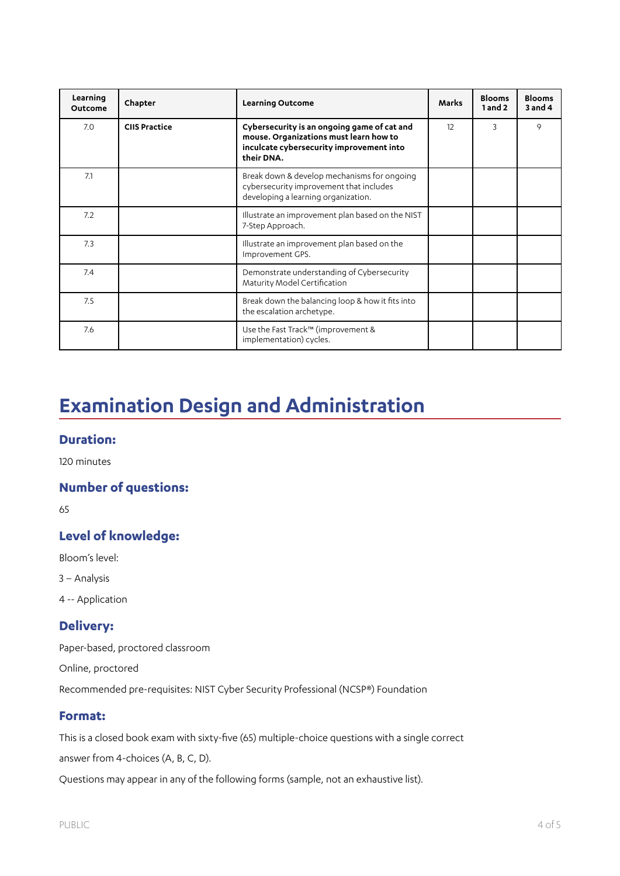| Learning<br>Outcome | Chapter              | <b>Learning Outcome</b>                                                                                                                         | <b>Marks</b> | <b>Blooms</b><br>1 and 2 | <b>Blooms</b><br>$3$ and $4$ |
|---------------------|----------------------|-------------------------------------------------------------------------------------------------------------------------------------------------|--------------|--------------------------|------------------------------|
| 7.0                 | <b>CIIS Practice</b> | Cybersecurity is an ongoing game of cat and<br>mouse. Organizations must learn how to<br>inculcate cybersecurity improvement into<br>their DNA. | 12           | 3                        | 9                            |
| 7.1                 |                      | Break down & develop mechanisms for ongoing<br>cybersecurity improvement that includes<br>developing a learning organization.                   |              |                          |                              |
| 7.2                 |                      | Illustrate an improvement plan based on the NIST<br>7-Step Approach.                                                                            |              |                          |                              |
| 7.3                 |                      | Illustrate an improvement plan based on the<br>Improvement GPS.                                                                                 |              |                          |                              |
| 7.4                 |                      | Demonstrate understanding of Cybersecurity<br>Maturity Model Certification                                                                      |              |                          |                              |
| 7.5                 |                      | Break down the balancing loop & how it fits into<br>the escalation archetype.                                                                   |              |                          |                              |
| 7.6                 |                      | Use the Fast Track™ (improvement &<br>implementation) cycles.                                                                                   |              |                          |                              |

# **Examination Design and Administration**

#### **Duration:**

120 minutes

## **Number of questions:**

65

### **Level of knowledge:**

Bloom's level:

- 3 Analysis
- 4 -- Application

#### **Delivery:**

Paper-based, proctored classroom

Online, proctored

Recommended pre-requisites: NIST Cyber Security Professional (NCSP®) Foundation

#### **Format:**

This is a closed book exam with sixty-five (65) multiple-choice questions with a single correct

answer from 4-choices (A, B, C, D).

Questions may appear in any of the following forms (sample, not an exhaustive list).